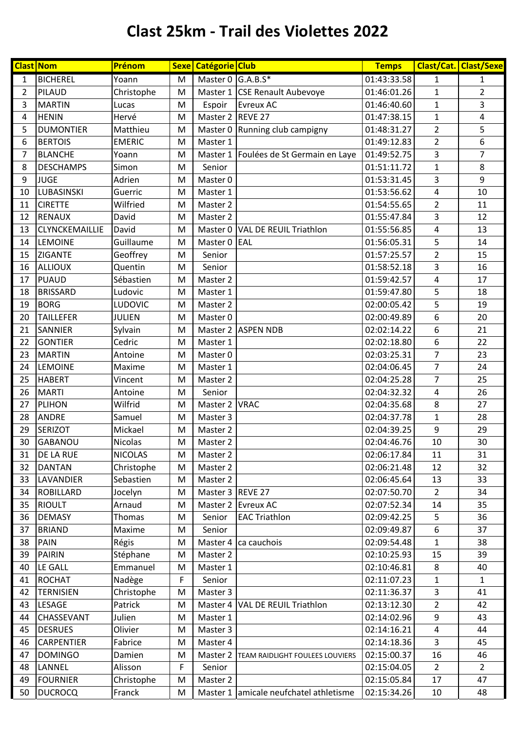## **Clast 25km - Trail des Violettes 2022**

|                | <b>Clast Nom</b>  | Prénom         |   | Sexe   Catégorie   Club |                                        | <b>Temps</b> |                | Clast/Cat. Clast/Sexe   |
|----------------|-------------------|----------------|---|-------------------------|----------------------------------------|--------------|----------------|-------------------------|
| 1              | <b>BICHEREL</b>   | Yoann          | M | Master 0 $G.A.B.S*$     |                                        | 01:43:33.58  | 1              | 1                       |
| $\overline{2}$ | PILAUD            | Christophe     | M |                         | Master 1 CSE Renault Aubevoye          | 01:46:01.26  | $\mathbf{1}$   | $\overline{2}$          |
| 3              | <b>MARTIN</b>     | Lucas          | M | Espoir                  | <b>Evreux AC</b>                       | 01:46:40.60  | $\mathbf 1$    | 3                       |
| $\overline{4}$ | <b>HENIN</b>      | Hervé          | M | Master 2 REVE 27        |                                        | 01:47:38.15  | $\mathbf{1}$   | $\overline{\mathbf{4}}$ |
| 5              | <b>DUMONTIER</b>  | Matthieu       | M |                         | Master 0 Running club campigny         | 01:48:31.27  | $\overline{2}$ | 5                       |
| 6              | <b>BERTOIS</b>    | <b>EMERIC</b>  | M | Master 1                |                                        | 01:49:12.83  | $\overline{2}$ | 6                       |
| $\overline{7}$ | <b>BLANCHE</b>    | Yoann          | M |                         | Master 1 Foulées de St Germain en Laye | 01:49:52.75  | 3              | 7                       |
| 8              | <b>DESCHAMPS</b>  | Simon          | M | Senior                  |                                        | 01:51:11.72  | $\mathbf 1$    | 8                       |
| 9              | <b>JUGE</b>       | Adrien         | M | Master 0                |                                        | 01:53:31.45  | 3              | 9                       |
| 10             | LUBASINSKI        | Guerric        | M | Master 1                |                                        | 01:53:56.62  | 4              | 10                      |
| 11             | <b>CIRETTE</b>    | Wilfried       | M | Master 2                |                                        | 01:54:55.65  | $\overline{2}$ | 11                      |
| 12             | <b>RENAUX</b>     | David          | M | Master 2                |                                        | 01:55:47.84  | 3              | 12                      |
| 13             | CLYNCKEMAILLIE    | David          | M |                         | Master 0   VAL DE REUIL Triathlon      | 01:55:56.85  | 4              | 13                      |
| 14             | <b>LEMOINE</b>    | Guillaume      | M | Master 0 EAL            |                                        | 01:56:05.31  | 5              | 14                      |
| 15             | <b>ZIGANTE</b>    | Geoffrey       | M | Senior                  |                                        | 01:57:25.57  | $\overline{2}$ | 15                      |
| 16             | <b>ALLIOUX</b>    | Quentin        | M | Senior                  |                                        | 01:58:52.18  | 3              | 16                      |
| 17             | <b>PUAUD</b>      | Sébastien      | M | Master 2                |                                        | 01:59:42.57  | 4              | 17                      |
| 18             | <b>BRISSARD</b>   | Ludovic        | M | Master 1                |                                        | 01:59:47.80  | 5              | 18                      |
| 19             | <b>BORG</b>       | LUDOVIC        | M | Master 2                |                                        | 02:00:05.42  | 5              | 19                      |
| 20             | <b>TAILLEFER</b>  | <b>JULIEN</b>  | M | Master 0                |                                        | 02:00:49.89  | 6              | 20                      |
| 21             | <b>SANNIER</b>    | Sylvain        | M |                         | Master 2 ASPEN NDB                     | 02:02:14.22  | 6              | 21                      |
| 22             | <b>GONTIER</b>    | Cedric         | M | Master 1                |                                        | 02:02:18.80  | 6              | 22                      |
| 23             | <b>MARTIN</b>     | Antoine        | M | Master 0                |                                        | 02:03:25.31  | 7              | 23                      |
| 24             | <b>LEMOINE</b>    | Maxime         | M | Master 1                |                                        | 02:04:06.45  | $\overline{7}$ | 24                      |
| 25             | <b>HABERT</b>     | Vincent        | M | Master 2                |                                        | 02:04:25.28  | 7              | 25                      |
| 26             | <b>MARTI</b>      | Antoine        | M | Senior                  |                                        | 02:04:32.32  | 4              | 26                      |
| 27             | <b>PLIHON</b>     | Wilfrid        | M | Master 2 VRAC           |                                        | 02:04:35.68  | 8              | 27                      |
| 28             | <b>ANDRE</b>      | Samuel         | M | Master 3                |                                        | 02:04:37.78  | $\mathbf{1}$   | 28                      |
| 29             | <b>SERIZOT</b>    | Mickael        | M | Master 2                |                                        | 02:04:39.25  | 9              | 29                      |
| 30             | GABANOU           | <b>Nicolas</b> | M | Master 2                |                                        | 02:04:46.76  | 10             | 30                      |
| 31             | <b>DE LA RUE</b>  | <b>NICOLAS</b> | М | Master 2                |                                        | 02:06:17.84  | 11             | 31                      |
| 32             | <b>DANTAN</b>     | Christophe     | M | Master 2                |                                        | 02:06:21.48  | 12             | 32                      |
| 33             | LAVANDIER         | Sebastien      | M | Master 2                |                                        | 02:06:45.64  | 13             | 33                      |
| 34             | <b>ROBILLARD</b>  | Jocelyn        | M | Master 3 REVE 27        |                                        | 02:07:50.70  | $\overline{2}$ | 34                      |
| 35             | <b>RIOULT</b>     | Arnaud         | M |                         | Master 2 Evreux AC                     | 02:07:52.34  | 14             | 35                      |
| 36             | <b>DEMASY</b>     | Thomas         | M | Senior                  | <b>EAC Triathlon</b>                   | 02:09:42.25  | 5              | 36                      |
| 37             | <b>BRIAND</b>     | Maxime         | M | Senior                  |                                        | 02:09:49.87  | 6              | 37                      |
| 38             | <b>PAIN</b>       | Régis          | M | Master 4                | ca cauchois                            | 02:09:54.48  | 1              | 38                      |
| 39             | <b>PAIRIN</b>     | Stéphane       | M | Master 2                |                                        | 02:10:25.93  | 15             | 39                      |
| 40             | LE GALL           | Emmanuel       | M | Master 1                |                                        | 02:10:46.81  | 8              | 40                      |
| 41             | <b>ROCHAT</b>     | Nadège         | F | Senior                  |                                        | 02:11:07.23  | 1              | $\mathbf{1}$            |
| 42             | <b>TERNISIEN</b>  | Christophe     | M | Master 3                |                                        | 02:11:36.37  | 3              | 41                      |
| 43             | <b>LESAGE</b>     | Patrick        | M |                         | Master 4   VAL DE REUIL Triathlon      | 02:13:12.30  | $\overline{2}$ | 42                      |
| 44             | <b>CHASSEVANT</b> | Julien         | M | Master 1                |                                        | 02:14:02.96  | 9              | 43                      |
| 45             | <b>DESRUES</b>    | Olivier        | M | Master 3                |                                        | 02:14:16.21  | 4              | 44                      |
| 46             | <b>CARPENTIER</b> | Fabrice        | M | Master 4                |                                        | 02:14:18.36  | 3              | 45                      |
| 47             | <b>DOMINGO</b>    | Damien         | M | Master 2                | TEAM RAIDLIGHT FOULEES LOUVIERS        | 02:15:00.37  | 16             | 46                      |
| 48             | LANNEL            | Alisson        | F | Senior                  |                                        | 02:15:04.05  | 2              | $\overline{2}$          |
| 49             | <b>FOURNIER</b>   | Christophe     | M | Master 2                |                                        | 02:15:05.84  | 17             | 47                      |
| 50             | <b>DUCROCQ</b>    | Franck         | M |                         | Master 1 amicale neufchatel athletisme | 02:15:34.26  | 10             | 48                      |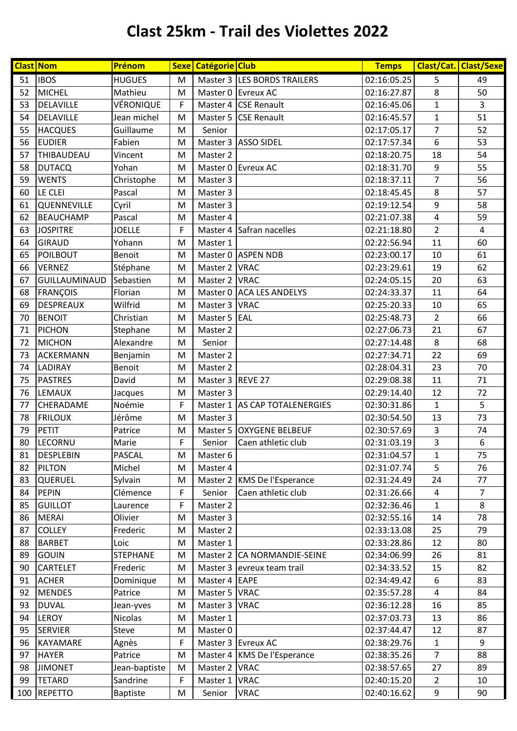## **Clast 25km - Trail des Violettes 2022**

|     | <b>Clast Nom</b>     | Prénom          |             | Sexe   Catégorie   Club |                               | <b>Temps</b> |                | <b>Clast/Cat. Clast/Sexe</b> |
|-----|----------------------|-----------------|-------------|-------------------------|-------------------------------|--------------|----------------|------------------------------|
| 51  | <b>IBOS</b>          | <b>HUGUES</b>   | M           |                         | Master 3 LES BORDS TRAILERS   | 02:16:05.25  | 5              | 49                           |
| 52  | <b>MICHEL</b>        | Mathieu         | M           |                         | Master 0 Evreux AC            | 02:16:27.87  | 8              | 50                           |
| 53  | DELAVILLE            | VÉRONIQUE       | F           |                         | Master 4 CSE Renault          | 02:16:45.06  | $\mathbf 1$    | 3                            |
| 54  | DELAVILLE            | Jean michel     | M           |                         | Master 5 CSE Renault          | 02:16:45.57  | $\mathbf{1}$   | 51                           |
| 55  | <b>HACQUES</b>       | Guillaume       | M           | Senior                  |                               | 02:17:05.17  | 7              | 52                           |
| 56  | <b>EUDIER</b>        | Fabien          | M           |                         | Master 3 ASSO SIDEL           | 02:17:57.34  | 6              | 53                           |
| 57  | THIBAUDEAU           | Vincent         | ${\sf M}$   | Master 2                |                               | 02:18:20.75  | 18             | 54                           |
| 58  | <b>DUTACQ</b>        | Yohan           | M           |                         | Master 0 Evreux AC            | 02:18:31.70  | 9              | 55                           |
| 59  | <b>WENTS</b>         | Christophe      | M           | Master 3                |                               | 02:18:37.11  | $\overline{7}$ | 56                           |
| 60  | LE CLEI              | Pascal          | M           | Master 3                |                               | 02:18:45.45  | 8              | 57                           |
| 61  | QUENNEVILLE          | Cyril           | M           | Master 3                |                               | 02:19:12.54  | 9              | 58                           |
| 62  | <b>BEAUCHAMP</b>     | Pascal          | M           | Master 4                |                               | 02:21:07.38  | 4              | 59                           |
| 63  | <b>JOSPITRE</b>      | <b>JOELLE</b>   | F           |                         | Master 4 Safran nacelles      | 02:21:18.80  | $\overline{2}$ | $\overline{4}$               |
| 64  | <b>GIRAUD</b>        | Yohann          | M           | Master 1                |                               | 02:22:56.94  | 11             | 60                           |
| 65  | POILBOUT             | <b>Benoit</b>   | M           |                         | Master 0 ASPEN NDB            | 02:23:00.17  | 10             | 61                           |
| 66  | <b>VERNEZ</b>        | Stéphane        | M           | Master 2 VRAC           |                               | 02:23:29.61  | 19             | 62                           |
| 67  | <b>GUILLAUMINAUD</b> | Sebastien       | M           | Master 2 VRAC           |                               | 02:24:05.15  | 20             | 63                           |
| 68  | <b>FRANÇOIS</b>      | Florian         | M           |                         | Master 0 ACA LES ANDELYS      | 02:24:33.37  | 11             | 64                           |
| 69  | DESPREAUX            | Wilfrid         | M           | Master 3 VRAC           |                               | 02:25:20.33  | 10             | 65                           |
| 70  | <b>BENOIT</b>        | Christian       | M           | Master 5 EAL            |                               | 02:25:48.73  | $\overline{2}$ | 66                           |
| 71  | <b>PICHON</b>        | Stephane        | M           | Master 2                |                               | 02:27:06.73  | 21             | 67                           |
| 72  | <b>MICHON</b>        | Alexandre       | M           | Senior                  |                               | 02:27:14.48  | 8              | 68                           |
| 73  | <b>ACKERMANN</b>     | Benjamin        | M           | Master 2                |                               | 02:27:34.71  | 22             | 69                           |
| 74  | <b>LADIRAY</b>       | Benoit          | M           | Master 2                |                               | 02:28:04.31  | 23             | 70                           |
| 75  | <b>PASTRES</b>       | David           | M           | Master 3 REVE 27        |                               | 02:29:08.38  | 11             | 71                           |
| 76  | <b>LEMAUX</b>        | Jacques         | M           | Master 3                |                               | 02:29:14.40  | 12             | 72                           |
| 77  | CHERADAME            | Noémie          | F           |                         | Master 1 AS CAP TOTALENERGIES | 02:30:31.86  | $\mathbf{1}$   | 5                            |
| 78  | <b>FRILOUX</b>       | Jérôme          | M           | Master 3                |                               | 02:30:54.50  | 13             | $\overline{73}$              |
| 79  | <b>PETIT</b>         | Patrice         | M           |                         | Master 5 OXYGENE BELBEUF      | 02:30:57.69  | 3              | 74                           |
| 80  | LECORNU              | Marie           | F           | Senior                  | Caen athletic club            | 02:31:03.19  | 3              | 6                            |
| 81  | DESPLEBIN            | <b>PASCAL</b>   | M           | Master 6                |                               | 02:31:04.57  | 1              | 75                           |
| 82  | PILTON               | Michel          | M           | Master 4                |                               | 02:31:07.74  | 5              | 76                           |
| 83  | QUERUEL              | Sylvain         | M           |                         | Master 2 KMS De l'Esperance   | 02:31:24.49  | 24             | 77                           |
| 84  | PEPIN                | Clémence        | $\mathsf F$ | Senior                  | Caen athletic club            | 02:31:26.66  | $\overline{4}$ | $\overline{7}$               |
| 85  | <b>GUILLOT</b>       | Laurence        | F           | Master 2                |                               | 02:32:36.46  | $\mathbf{1}$   | 8                            |
| 86  | MERAI                | Olivier         | M           | Master 3                |                               | 02:32:55.16  | 14             | 78                           |
| 87  | <b>COLLEY</b>        | Frederic        | M           | Master 2                |                               | 02:33:13.08  | 25             | 79                           |
| 88  | <b>BARBET</b>        | Loic            | ${\sf M}$   | Master 1                |                               | 02:33:28.86  | 12             | 80                           |
| 89  | <b>GOUIN</b>         | <b>STEPHANE</b> | M           |                         | Master 2 CA NORMANDIE-SEINE   | 02:34:06.99  | 26             | 81                           |
| 90  | <b>CARTELET</b>      | Frederic        | M           |                         | Master 3 evreux team trail    | 02:34:33.52  | 15             | 82                           |
| 91  | <b>ACHER</b>         | Dominique       | M           | Master 4 EAPE           |                               | 02:34:49.42  | 6              | 83                           |
| 92  | <b>MENDES</b>        | Patrice         | M           | Master 5 VRAC           |                               | 02:35:57.28  | $\overline{4}$ | 84                           |
| 93  | <b>DUVAL</b>         | Jean-yves       | M           | Master 3   VRAC         |                               | 02:36:12.28  | 16             | 85                           |
| 94  | <b>LEROY</b>         | Nicolas         | M           | Master 1                |                               | 02:37:03.73  | 13             | 86                           |
| 95  | <b>SERVIER</b>       | <b>Steve</b>    | M           | Master 0                |                               | 02:37:44.47  | 12             | 87                           |
| 96  | KAYAMARE             | Agnès           | F           |                         | Master 3 Evreux AC            | 02:38:29.76  | 1              | 9                            |
| 97  | <b>HAYER</b>         | Patrice         | M           |                         | Master 4   KMS De l'Esperance | 02:38:35.26  | $\overline{7}$ | 88                           |
| 98  | <b>JIMONET</b>       | Jean-baptiste   | M           | Master 2   VRAC         |                               | 02:38:57.65  | 27             | 89                           |
| 99  | <b>TETARD</b>        | Sandrine        | F           | Master 1                | <b>VRAC</b>                   | 02:40:15.20  | $\overline{2}$ | 10                           |
| 100 | <b>REPETTO</b>       | <b>Baptiste</b> | M           | Senior                  | <b>VRAC</b>                   | 02:40:16.62  | 9              | 90                           |